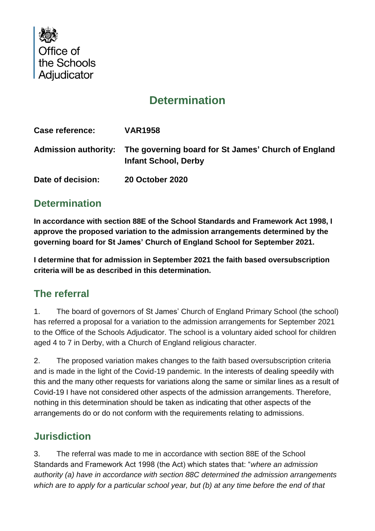

# **Determination**

| Case reference:   | <b>VAR1958</b>                                                                                          |
|-------------------|---------------------------------------------------------------------------------------------------------|
|                   | Admission authority: The governing board for St James' Church of England<br><b>Infant School, Derby</b> |
| Date of decision: | <b>20 October 2020</b>                                                                                  |

## **Determination**

**In accordance with section 88E of the School Standards and Framework Act 1998, I approve the proposed variation to the admission arrangements determined by the governing board for St James' Church of England School for September 2021.**

**I determine that for admission in September 2021 the faith based oversubscription criteria will be as described in this determination.** 

#### **The referral**

1. The board of governors of St James' Church of England Primary School (the school) has referred a proposal for a variation to the admission arrangements for September 2021 to the Office of the Schools Adjudicator. The school is a voluntary aided school for children aged 4 to 7 in Derby, with a Church of England religious character.

2. The proposed variation makes changes to the faith based oversubscription criteria and is made in the light of the Covid-19 pandemic. In the interests of dealing speedily with this and the many other requests for variations along the same or similar lines as a result of Covid-19 I have not considered other aspects of the admission arrangements. Therefore, nothing in this determination should be taken as indicating that other aspects of the arrangements do or do not conform with the requirements relating to admissions.

## **Jurisdiction**

3. The referral was made to me in accordance with section 88E of the School Standards and Framework Act 1998 (the Act) which states that: "*where an admission authority (a) have in accordance with section 88C determined the admission arrangements which are to apply for a particular school year, but (b) at any time before the end of that*